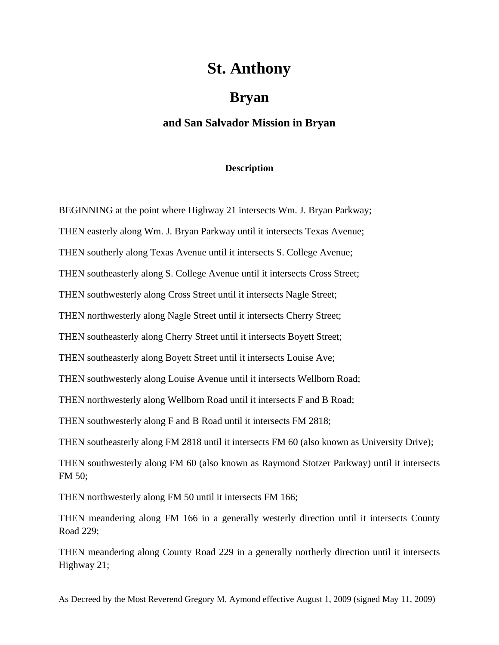## **St. Anthony**

## **Bryan**

## **and San Salvador Mission in Bryan**

## **Description**

BEGINNING at the point where Highway 21 intersects Wm. J. Bryan Parkway;

THEN easterly along Wm. J. Bryan Parkway until it intersects Texas Avenue;

THEN southerly along Texas Avenue until it intersects S. College Avenue;

THEN southeasterly along S. College Avenue until it intersects Cross Street;

THEN southwesterly along Cross Street until it intersects Nagle Street;

THEN northwesterly along Nagle Street until it intersects Cherry Street;

THEN southeasterly along Cherry Street until it intersects Boyett Street;

THEN southeasterly along Boyett Street until it intersects Louise Ave;

THEN southwesterly along Louise Avenue until it intersects Wellborn Road;

THEN northwesterly along Wellborn Road until it intersects F and B Road;

THEN southwesterly along F and B Road until it intersects FM 2818;

THEN southeasterly along FM 2818 until it intersects FM 60 (also known as University Drive);

THEN southwesterly along FM 60 (also known as Raymond Stotzer Parkway) until it intersects FM 50;

THEN northwesterly along FM 50 until it intersects FM 166;

THEN meandering along FM 166 in a generally westerly direction until it intersects County Road 229;

THEN meandering along County Road 229 in a generally northerly direction until it intersects Highway 21;

As Decreed by the Most Reverend Gregory M. Aymond effective August 1, 2009 (signed May 11, 2009)